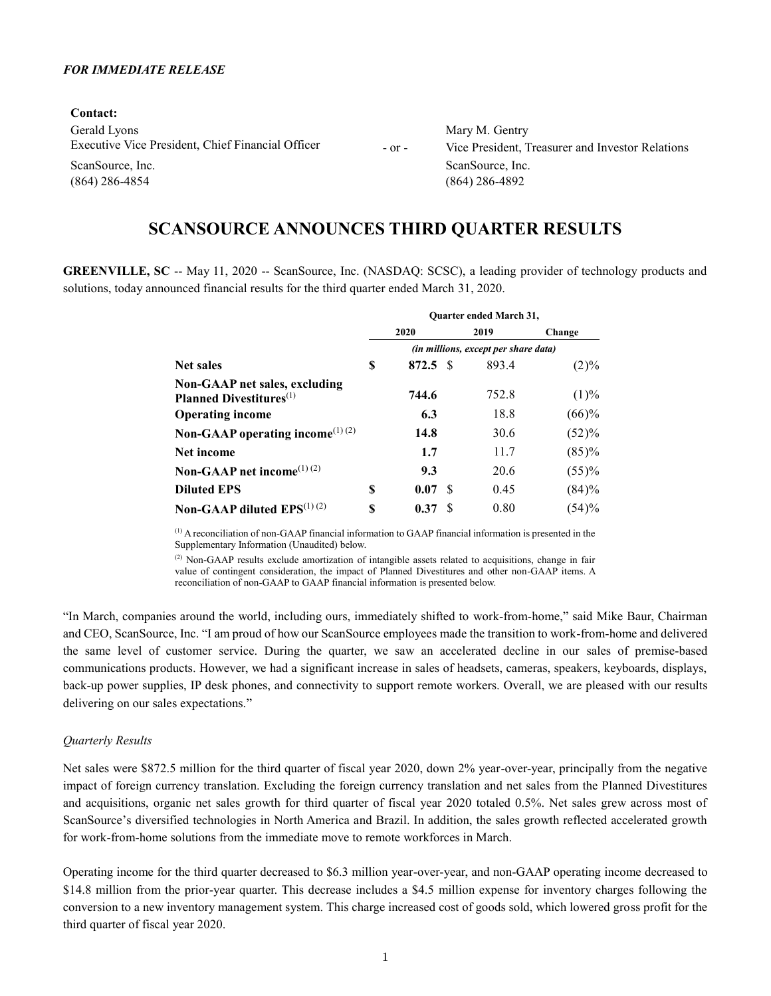### *FOR IMMEDIATE RELEASE*

**Contact:** Gerald Lyons Mary M. Gentry Executive Vice President, Chief Financial Officer - or - Vice President, Treasurer and Investor Relations ScanSource, Inc. ScanSource, Inc. ScanSource, Inc.

(864) 286-4854 (864) 286-4892

# **SCANSOURCE ANNOUNCES THIRD QUARTER RESULTS**

**GREENVILLE, SC** -- May 11, 2020 -- ScanSource, Inc. (NASDAQ: SCSC), a leading provider of technology products and solutions, today announced financial results for the third quarter ended March 31, 2020.

|                                                                             | <b>Ouarter ended March 31,</b> |                                      |    |       |         |  |  |  |  |  |  |  |
|-----------------------------------------------------------------------------|--------------------------------|--------------------------------------|----|-------|---------|--|--|--|--|--|--|--|
|                                                                             |                                | 2020                                 |    | 2019  | Change  |  |  |  |  |  |  |  |
|                                                                             |                                | (in millions, except per share data) |    |       |         |  |  |  |  |  |  |  |
| <b>Net sales</b>                                                            | S                              | 872.5 S                              |    | 893.4 | $(2)\%$ |  |  |  |  |  |  |  |
| Non-GAAP net sales, excluding<br><b>Planned Divestitures</b> <sup>(1)</sup> |                                | 744.6                                |    | 752.8 | (1)%    |  |  |  |  |  |  |  |
| <b>Operating income</b>                                                     |                                | 6.3                                  |    | 18.8  | (66)%   |  |  |  |  |  |  |  |
| Non-GAAP operating income <sup>(1)(2)</sup>                                 |                                | 14.8                                 |    | 30.6  | (52)%   |  |  |  |  |  |  |  |
| <b>Net income</b>                                                           |                                | 1.7                                  |    | 11.7  | (85)%   |  |  |  |  |  |  |  |
| Non-GAAP net income <sup>(1) (2)</sup>                                      |                                | 9.3                                  |    | 20.6  | (55)%   |  |  |  |  |  |  |  |
| <b>Diluted EPS</b>                                                          | S                              | 0.07                                 | -S | 0.45  | (84)%   |  |  |  |  |  |  |  |
| Non-GAAP diluted $EPS^{(1)(2)}$                                             | S                              | 0.37                                 | -8 | 0.80  | (54)%   |  |  |  |  |  |  |  |

(1) A reconciliation of non-GAAP financial information to GAAP financial information is presented in the Supplementary Information (Unaudited) below.

<sup>(2)</sup> Non-GAAP results exclude amortization of intangible assets related to acquisitions, change in fair value of contingent consideration, the impact of Planned Divestitures and other non-GAAP items. A reconciliation of non-GAAP to GAAP financial information is presented below.

"In March, companies around the world, including ours, immediately shifted to work-from-home," said Mike Baur, Chairman and CEO, ScanSource, Inc. "I am proud of how our ScanSource employees made the transition to work-from-home and delivered the same level of customer service. During the quarter, we saw an accelerated decline in our sales of premise-based communications products. However, we had a significant increase in sales of headsets, cameras, speakers, keyboards, displays, back-up power supplies, IP desk phones, and connectivity to support remote workers. Overall, we are pleased with our results delivering on our sales expectations."

#### *Quarterly Results*

Net sales were \$872.5 million for the third quarter of fiscal year 2020, down 2% year-over-year, principally from the negative impact of foreign currency translation. Excluding the foreign currency translation and net sales from the Planned Divestitures and acquisitions, organic net sales growth for third quarter of fiscal year 2020 totaled 0.5%. Net sales grew across most of ScanSource's diversified technologies in North America and Brazil. In addition, the sales growth reflected accelerated growth for work-from-home solutions from the immediate move to remote workforces in March.

Operating income for the third quarter decreased to \$6.3 million year-over-year, and non-GAAP operating income decreased to \$14.8 million from the prior-year quarter. This decrease includes a \$4.5 million expense for inventory charges following the conversion to a new inventory management system. This charge increased cost of goods sold, which lowered gross profit for the third quarter of fiscal year 2020.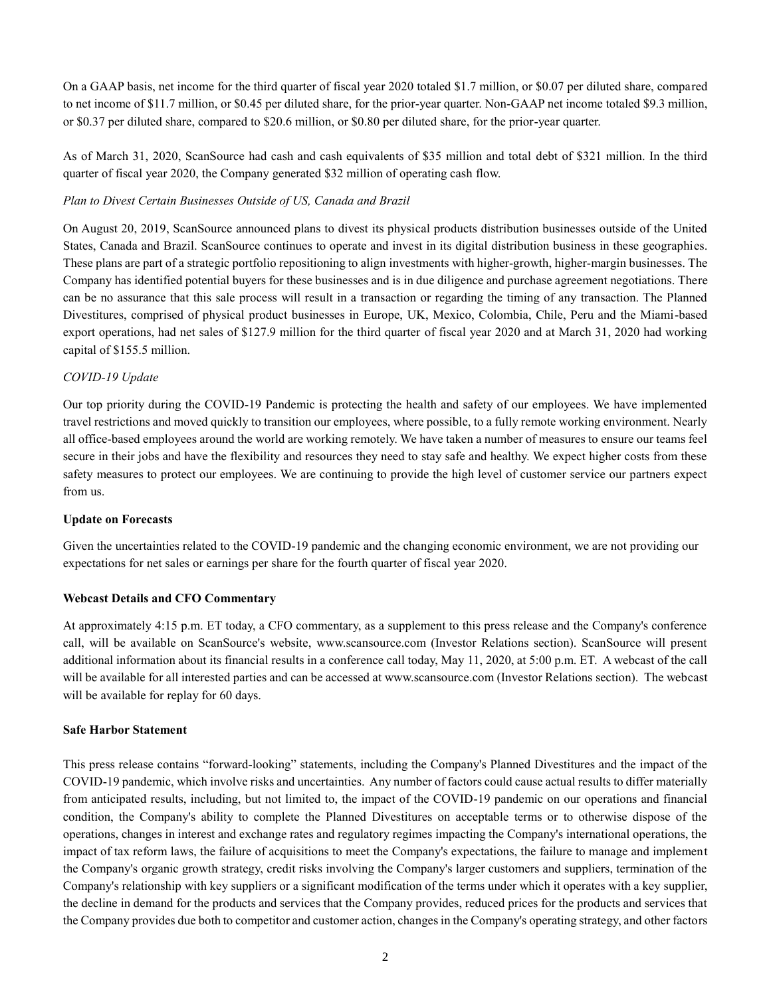On a GAAP basis, net income for the third quarter of fiscal year 2020 totaled \$1.7 million, or \$0.07 per diluted share, compared to net income of \$11.7 million, or \$0.45 per diluted share, for the prior-year quarter. Non-GAAP net income totaled \$9.3 million, or \$0.37 per diluted share, compared to \$20.6 million, or \$0.80 per diluted share, for the prior-year quarter.

As of March 31, 2020, ScanSource had cash and cash equivalents of \$35 million and total debt of \$321 million. In the third quarter of fiscal year 2020, the Company generated \$32 million of operating cash flow.

### *Plan to Divest Certain Businesses Outside of US, Canada and Brazil*

On August 20, 2019, ScanSource announced plans to divest its physical products distribution businesses outside of the United States, Canada and Brazil. ScanSource continues to operate and invest in its digital distribution business in these geographies. These plans are part of a strategic portfolio repositioning to align investments with higher-growth, higher-margin businesses. The Company has identified potential buyers for these businesses and is in due diligence and purchase agreement negotiations. There can be no assurance that this sale process will result in a transaction or regarding the timing of any transaction. The Planned Divestitures, comprised of physical product businesses in Europe, UK, Mexico, Colombia, Chile, Peru and the Miami-based export operations, had net sales of \$127.9 million for the third quarter of fiscal year 2020 and at March 31, 2020 had working capital of \$155.5 million.

### *COVID-19 Update*

Our top priority during the COVID-19 Pandemic is protecting the health and safety of our employees. We have implemented travel restrictions and moved quickly to transition our employees, where possible, to a fully remote working environment. Nearly all office-based employees around the world are working remotely. We have taken a number of measures to ensure our teams feel secure in their jobs and have the flexibility and resources they need to stay safe and healthy. We expect higher costs from these safety measures to protect our employees. We are continuing to provide the high level of customer service our partners expect from us.

### **Update on Forecasts**

Given the uncertainties related to the COVID-19 pandemic and the changing economic environment, we are not providing our expectations for net sales or earnings per share for the fourth quarter of fiscal year 2020.

### **Webcast Details and CFO Commentary**

At approximately 4:15 p.m. ET today, a CFO commentary, as a supplement to this press release and the Company's conference call, will be available on ScanSource's website, www.scansource.com (Investor Relations section). ScanSource will present additional information about its financial results in a conference call today, May 11, 2020, at 5:00 p.m. ET. A webcast of the call will be available for all interested parties and can be accessed at www.scansource.com (Investor Relations section). The webcast will be available for replay for 60 days.

### **Safe Harbor Statement**

This press release contains "forward-looking" statements, including the Company's Planned Divestitures and the impact of the COVID-19 pandemic, which involve risks and uncertainties. Any number of factors could cause actual results to differ materially from anticipated results, including, but not limited to, the impact of the COVID-19 pandemic on our operations and financial condition, the Company's ability to complete the Planned Divestitures on acceptable terms or to otherwise dispose of the operations, changes in interest and exchange rates and regulatory regimes impacting the Company's international operations, the impact of tax reform laws, the failure of acquisitions to meet the Company's expectations, the failure to manage and implement the Company's organic growth strategy, credit risks involving the Company's larger customers and suppliers, termination of the Company's relationship with key suppliers or a significant modification of the terms under which it operates with a key supplier, the decline in demand for the products and services that the Company provides, reduced prices for the products and services that the Company provides due both to competitor and customer action, changes in the Company's operating strategy, and other factors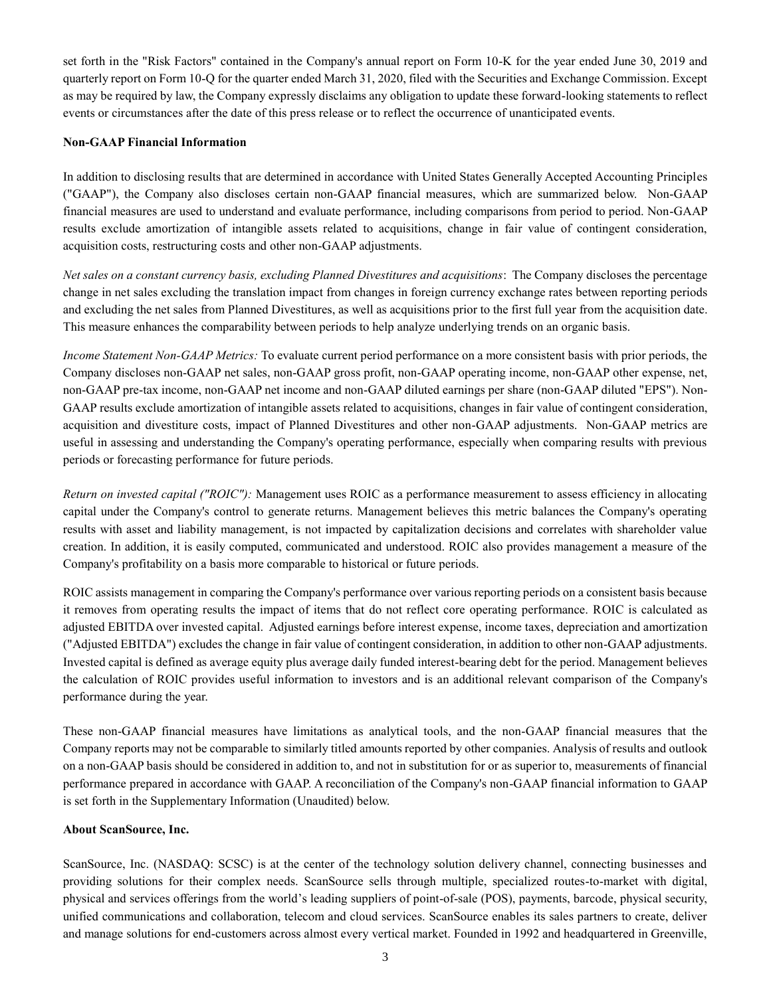set forth in the "Risk Factors" contained in the Company's annual report on Form 10-K for the year ended June 30, 2019 and quarterly report on Form 10-Q for the quarter ended March 31, 2020, filed with the Securities and Exchange Commission. Except as may be required by law, the Company expressly disclaims any obligation to update these forward-looking statements to reflect events or circumstances after the date of this press release or to reflect the occurrence of unanticipated events.

### **Non-GAAP Financial Information**

In addition to disclosing results that are determined in accordance with United States Generally Accepted Accounting Principles ("GAAP"), the Company also discloses certain non-GAAP financial measures, which are summarized below. Non-GAAP financial measures are used to understand and evaluate performance, including comparisons from period to period. Non-GAAP results exclude amortization of intangible assets related to acquisitions, change in fair value of contingent consideration, acquisition costs, restructuring costs and other non-GAAP adjustments.

*Net sales on a constant currency basis, excluding Planned Divestitures and acquisitions*: The Company discloses the percentage change in net sales excluding the translation impact from changes in foreign currency exchange rates between reporting periods and excluding the net sales from Planned Divestitures, as well as acquisitions prior to the first full year from the acquisition date. This measure enhances the comparability between periods to help analyze underlying trends on an organic basis.

*Income Statement Non-GAAP Metrics:* To evaluate current period performance on a more consistent basis with prior periods, the Company discloses non-GAAP net sales, non-GAAP gross profit, non-GAAP operating income, non-GAAP other expense, net, non-GAAP pre-tax income, non-GAAP net income and non-GAAP diluted earnings per share (non-GAAP diluted "EPS"). Non-GAAP results exclude amortization of intangible assets related to acquisitions, changes in fair value of contingent consideration, acquisition and divestiture costs, impact of Planned Divestitures and other non-GAAP adjustments. Non-GAAP metrics are useful in assessing and understanding the Company's operating performance, especially when comparing results with previous periods or forecasting performance for future periods.

*Return on invested capital ("ROIC"):* Management uses ROIC as a performance measurement to assess efficiency in allocating capital under the Company's control to generate returns. Management believes this metric balances the Company's operating results with asset and liability management, is not impacted by capitalization decisions and correlates with shareholder value creation. In addition, it is easily computed, communicated and understood. ROIC also provides management a measure of the Company's profitability on a basis more comparable to historical or future periods.

ROIC assists management in comparing the Company's performance over various reporting periods on a consistent basis because it removes from operating results the impact of items that do not reflect core operating performance. ROIC is calculated as adjusted EBITDA over invested capital. Adjusted earnings before interest expense, income taxes, depreciation and amortization ("Adjusted EBITDA") excludes the change in fair value of contingent consideration, in addition to other non-GAAP adjustments. Invested capital is defined as average equity plus average daily funded interest-bearing debt for the period. Management believes the calculation of ROIC provides useful information to investors and is an additional relevant comparison of the Company's performance during the year.

These non-GAAP financial measures have limitations as analytical tools, and the non-GAAP financial measures that the Company reports may not be comparable to similarly titled amounts reported by other companies. Analysis of results and outlook on a non-GAAP basis should be considered in addition to, and not in substitution for or as superior to, measurements of financial performance prepared in accordance with GAAP. A reconciliation of the Company's non-GAAP financial information to GAAP is set forth in the Supplementary Information (Unaudited) below.

#### **About ScanSource, Inc.**

ScanSource, Inc. (NASDAQ: SCSC) is at the center of the technology solution delivery channel, connecting businesses and providing solutions for their complex needs. ScanSource sells through multiple, specialized routes-to-market with digital, physical and services offerings from the world's leading suppliers of point-of-sale (POS), payments, barcode, physical security, unified communications and collaboration, telecom and cloud services. ScanSource enables its sales partners to create, deliver and manage solutions for end-customers across almost every vertical market. Founded in 1992 and headquartered in Greenville,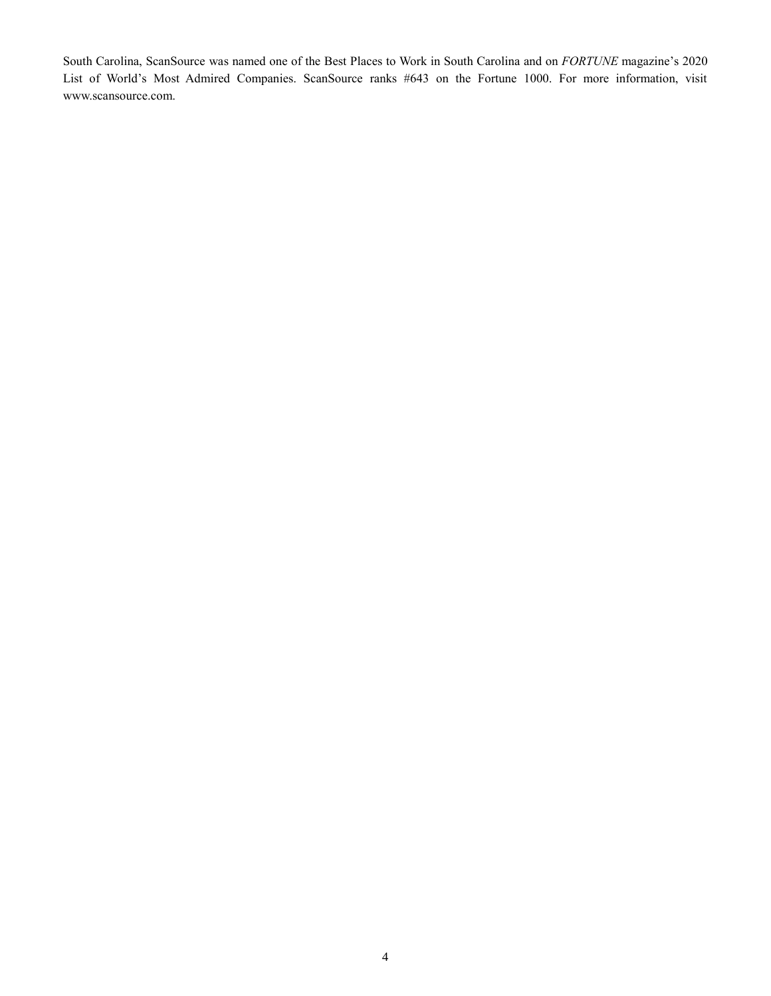South Carolina, ScanSource was named one of the Best Places to Work in South Carolina and on *FORTUNE* magazine's 2020 List of World's Most Admired Companies. ScanSource ranks #643 on the Fortune 1000. For more information, visit www.scansource.com.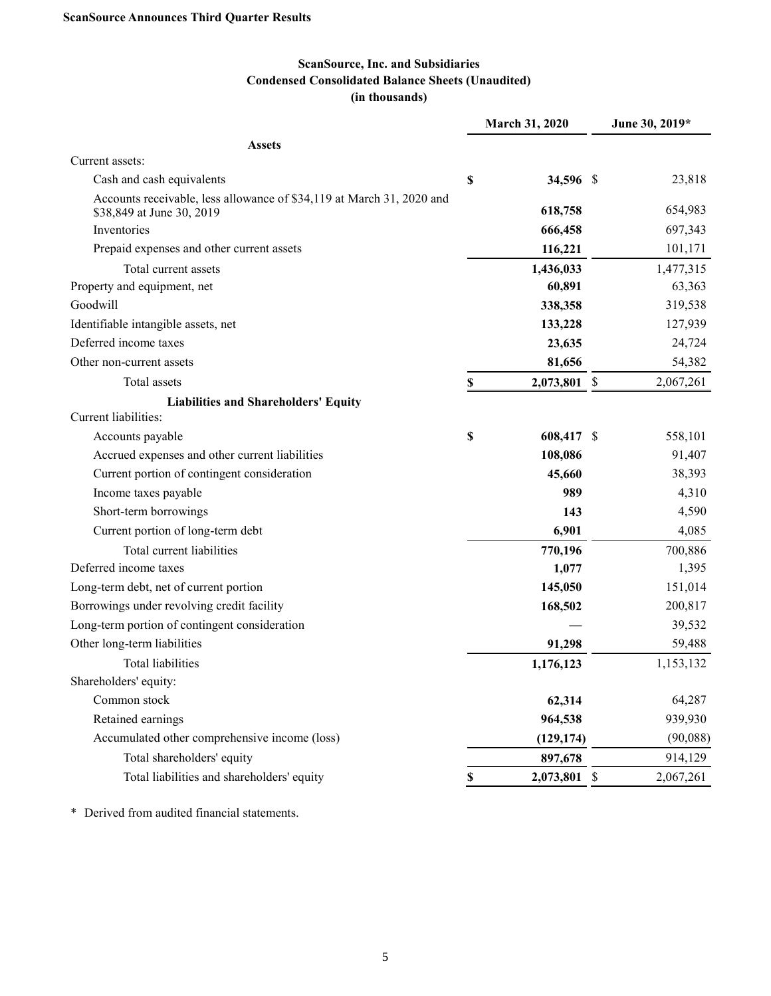# **ScanSource, Inc. and Subsidiaries Condensed Consolidated Balance Sheets (Unaudited) (in thousands)**

|                                                                                                    | March 31, 2020     | June 30, 2019*  |
|----------------------------------------------------------------------------------------------------|--------------------|-----------------|
| <b>Assets</b>                                                                                      |                    |                 |
| Current assets:                                                                                    |                    |                 |
| Cash and cash equivalents                                                                          | \$<br>34,596 \$    | 23,818          |
| Accounts receivable, less allowance of \$34,119 at March 31, 2020 and<br>\$38,849 at June 30, 2019 | 618,758            | 654,983         |
| Inventories                                                                                        | 666,458            | 697,343         |
| Prepaid expenses and other current assets                                                          | 116,221            | 101,171         |
| Total current assets                                                                               | 1,436,033          | 1,477,315       |
| Property and equipment, net                                                                        | 60,891             | 63,363          |
| Goodwill                                                                                           | 338,358            | 319,538         |
| Identifiable intangible assets, net                                                                | 133,228            | 127,939         |
| Deferred income taxes                                                                              | 23,635             | 24,724          |
| Other non-current assets                                                                           | 81,656             | 54,382          |
| Total assets                                                                                       | \$<br>2,073,801    | \$<br>2,067,261 |
| <b>Liabilities and Shareholders' Equity</b>                                                        |                    |                 |
| Current liabilities:                                                                               |                    |                 |
| Accounts payable                                                                                   | \$<br>608,417 \$   | 558,101         |
| Accrued expenses and other current liabilities                                                     | 108,086            | 91,407          |
| Current portion of contingent consideration                                                        | 45,660             | 38,393          |
| Income taxes payable                                                                               | 989                | 4,310           |
| Short-term borrowings                                                                              | 143                | 4,590           |
| Current portion of long-term debt                                                                  | 6,901              | 4,085           |
| Total current liabilities                                                                          | 770,196            | 700,886         |
| Deferred income taxes                                                                              | 1,077              | 1,395           |
| Long-term debt, net of current portion                                                             | 145,050            | 151,014         |
| Borrowings under revolving credit facility                                                         | 168,502            | 200,817         |
| Long-term portion of contingent consideration                                                      |                    | 39,532          |
| Other long-term liabilities                                                                        | 91,298             | 59,488          |
| <b>Total liabilities</b>                                                                           | 1,176,123          | 1,153,132       |
| Shareholders' equity:                                                                              |                    |                 |
| Common stock                                                                                       | 62,314             | 64,287          |
| Retained earnings                                                                                  | 964,538            | 939,930         |
| Accumulated other comprehensive income (loss)                                                      | (129, 174)         | (90,088)        |
| Total shareholders' equity                                                                         | 897,678            | 914,129         |
| Total liabilities and shareholders' equity                                                         | \$<br>2,073,801 \$ | 2,067,261       |

\* Derived from audited financial statements.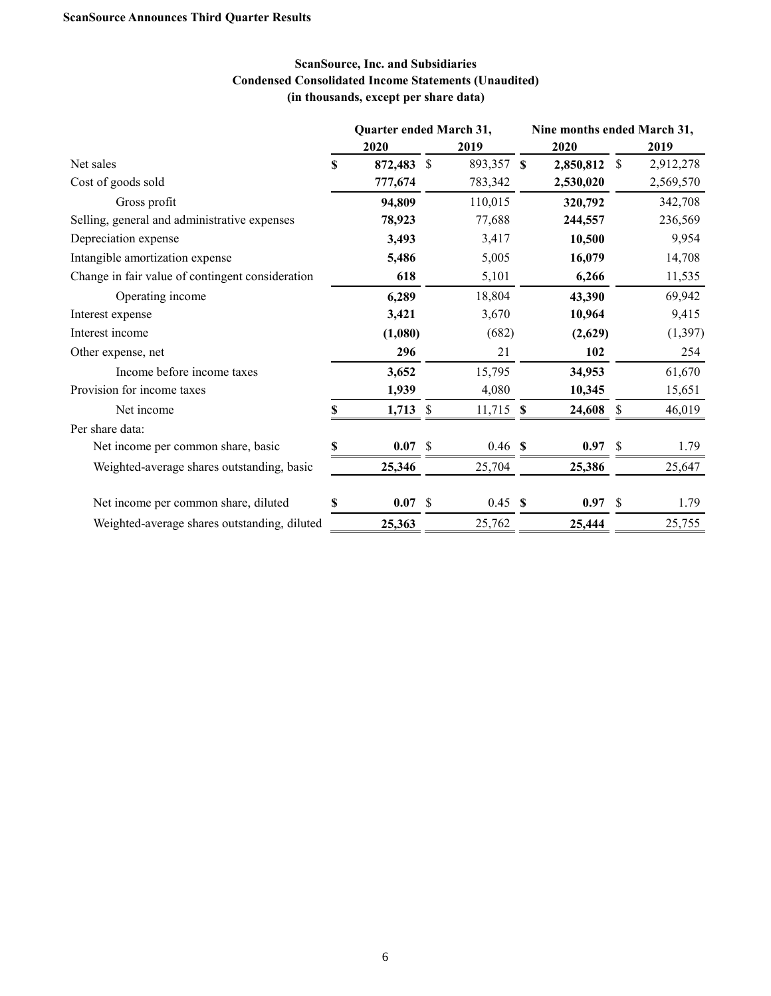# **ScanSource, Inc. and Subsidiaries Condensed Consolidated Income Statements (Unaudited) (in thousands, except per share data)**

|                                                  | Quarter ended March 31, |            |    |             |           |               | Nine months ended March 31, |  |  |
|--------------------------------------------------|-------------------------|------------|----|-------------|-----------|---------------|-----------------------------|--|--|
|                                                  |                         | 2020       |    | 2019        | 2020      |               | 2019                        |  |  |
| Net sales                                        | S                       | 872,483    | -S | 893,357 \$  | 2,850,812 | S             | 2,912,278                   |  |  |
| Cost of goods sold                               |                         | 777,674    |    | 783,342     | 2,530,020 |               | 2,569,570                   |  |  |
| Gross profit                                     |                         | 94,809     |    | 110,015     | 320,792   |               | 342,708                     |  |  |
| Selling, general and administrative expenses     |                         | 78,923     |    | 77,688      | 244,557   |               | 236,569                     |  |  |
| Depreciation expense                             |                         | 3,493      |    | 3,417       | 10,500    |               | 9,954                       |  |  |
| Intangible amortization expense                  |                         | 5,486      |    | 5,005       | 16,079    |               | 14,708                      |  |  |
| Change in fair value of contingent consideration |                         | 618        |    | 5,101       | 6,266     |               | 11,535                      |  |  |
| Operating income                                 |                         | 6,289      |    | 18,804      | 43,390    |               | 69,942                      |  |  |
| Interest expense                                 |                         | 3,421      |    | 3,670       | 10,964    |               | 9,415                       |  |  |
| Interest income                                  |                         | (1,080)    |    | (682)       | (2,629)   |               | (1, 397)                    |  |  |
| Other expense, net                               |                         | 296        |    | 21          | 102       |               | 254                         |  |  |
| Income before income taxes                       |                         | 3,652      |    | 15,795      | 34,953    |               | 61,670                      |  |  |
| Provision for income taxes                       |                         | 1,939      |    | 4,080       | 10,345    |               | 15,651                      |  |  |
| Net income                                       | S                       | $1,713$ \$ |    | $11,715$ \$ | 24,608    | S             | 46,019                      |  |  |
| Per share data:                                  |                         |            |    |             |           |               |                             |  |  |
| Net income per common share, basic               |                         | 0.07 S     |    | $0.46$ \$   | 0.97      | S             | 1.79                        |  |  |
| Weighted-average shares outstanding, basic       |                         | 25,346     |    | 25,704      | 25,386    |               | 25,647                      |  |  |
| Net income per common share, diluted             |                         | 0.07 S     |    | 0.45 S      | 0.97      | <sup>\$</sup> | 1.79                        |  |  |
| Weighted-average shares outstanding, diluted     |                         | 25,363     |    | 25,762      | 25,444    |               | 25,755                      |  |  |
|                                                  |                         |            |    |             |           |               |                             |  |  |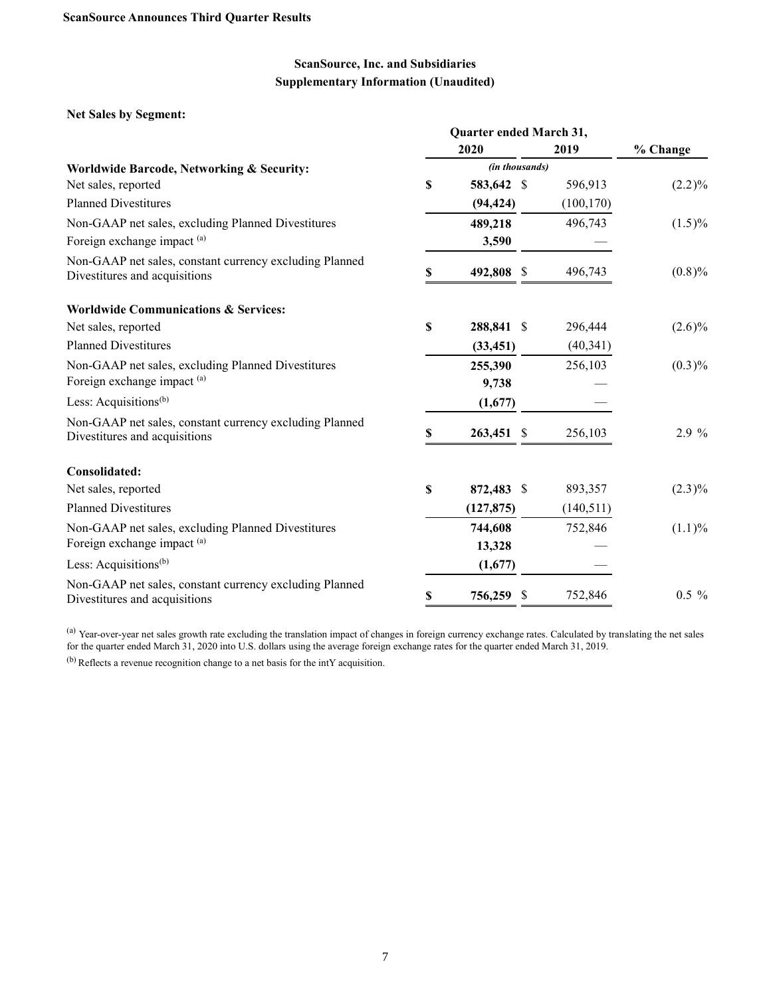### **Net Sales by Segment:**

|                                                                                          | Quarter ended March 31, |                |    |            |           |
|------------------------------------------------------------------------------------------|-------------------------|----------------|----|------------|-----------|
|                                                                                          |                         | 2020           |    | 2019       | % Change  |
| Worldwide Barcode, Networking & Security:                                                |                         | (in thousands) |    |            |           |
| Net sales, reported                                                                      | \$                      | 583,642 \$     |    | 596,913    | $(2.2)\%$ |
| <b>Planned Divestitures</b>                                                              |                         | (94, 424)      |    | (100, 170) |           |
| Non-GAAP net sales, excluding Planned Divestitures                                       |                         | 489,218        |    | 496,743    | $(1.5)\%$ |
| Foreign exchange impact (a)                                                              |                         | 3,590          |    |            |           |
| Non-GAAP net sales, constant currency excluding Planned<br>Divestitures and acquisitions | \$                      | 492,808 \$     |    | 496,743    | $(0.8)\%$ |
| <b>Worldwide Communications &amp; Services:</b>                                          |                         |                |    |            |           |
| Net sales, reported                                                                      | \$                      | 288,841 \$     |    | 296,444    | $(2.6)\%$ |
| <b>Planned Divestitures</b>                                                              |                         | (33, 451)      |    | (40,341)   |           |
| Non-GAAP net sales, excluding Planned Divestitures                                       |                         | 255,390        |    | 256,103    | $(0.3)\%$ |
| Foreign exchange impact (a)                                                              |                         | 9,738          |    |            |           |
| Less: Acquisitions <sup>(b)</sup>                                                        |                         | (1,677)        |    |            |           |
| Non-GAAP net sales, constant currency excluding Planned<br>Divestitures and acquisitions | \$                      | 263,451        | \$ | 256,103    | 2.9 %     |
| Consolidated:                                                                            |                         |                |    |            |           |
| Net sales, reported                                                                      | \$                      | 872,483 \$     |    | 893,357    | $(2.3)\%$ |
| <b>Planned Divestitures</b>                                                              |                         | (127, 875)     |    | (140,511)  |           |
| Non-GAAP net sales, excluding Planned Divestitures                                       |                         | 744,608        |    | 752,846    | $(1.1)\%$ |
| Foreign exchange impact (a)                                                              |                         | 13,328         |    |            |           |
| Less: Acquisitions <sup>(b)</sup>                                                        |                         | (1,677)        |    |            |           |
| Non-GAAP net sales, constant currency excluding Planned<br>Divestitures and acquisitions | \$                      | 756,259        | S  | 752,846    | $0.5\%$   |

<sup>(a)</sup> Year-over-year net sales growth rate excluding the translation impact of changes in foreign currency exchange rates. Calculated by translating the net sales for the quarter ended March 31, 2020 into U.S. dollars using the average foreign exchange rates for the quarter ended March 31, 2019.

(b) Reflects a revenue recognition change to a net basis for the intY acquisition.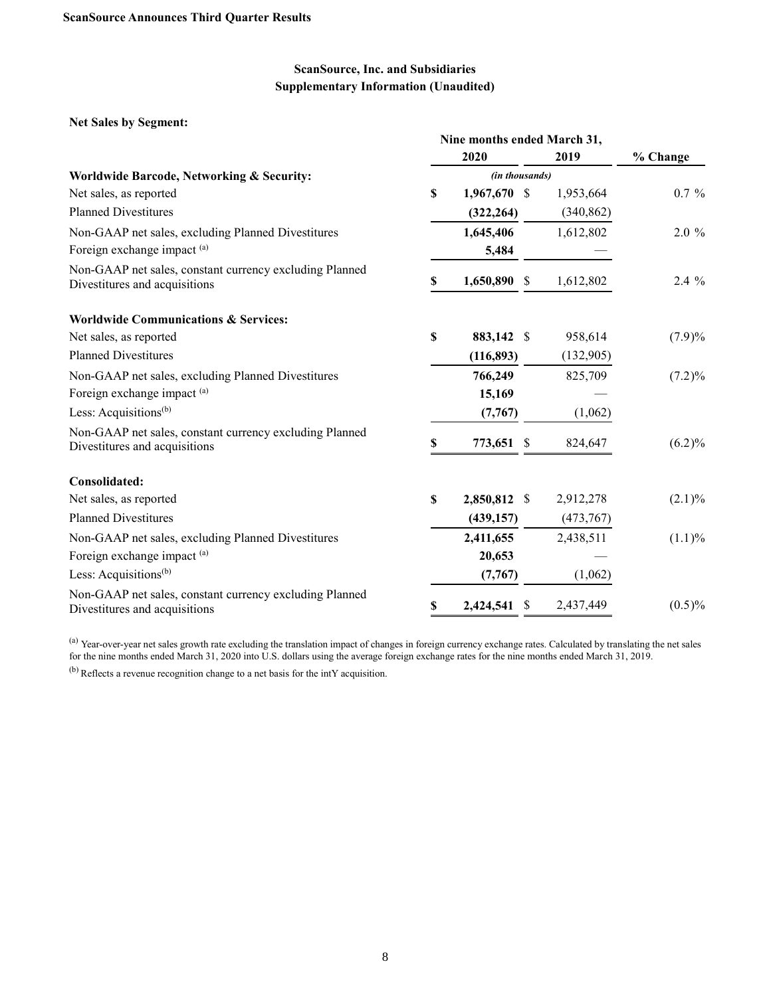**Net Sales by Segment:**

|                                                                                          | Nine months ended March 31, |                |    |            |           |
|------------------------------------------------------------------------------------------|-----------------------------|----------------|----|------------|-----------|
|                                                                                          |                             | 2020           |    | 2019       | % Change  |
| Worldwide Barcode, Networking & Security:                                                |                             | (in thousands) |    |            |           |
| Net sales, as reported                                                                   | $\mathbf S$                 | 1,967,670 \$   |    | 1,953,664  | $0.7 \%$  |
| <b>Planned Divestitures</b>                                                              |                             | (322, 264)     |    | (340, 862) |           |
| Non-GAAP net sales, excluding Planned Divestitures                                       |                             | 1,645,406      |    | 1,612,802  | 2.0 %     |
| Foreign exchange impact (a)                                                              |                             | 5,484          |    |            |           |
| Non-GAAP net sales, constant currency excluding Planned<br>Divestitures and acquisitions | S                           | 1,650,890 \$   |    | 1,612,802  | 2.4 %     |
| <b>Worldwide Communications &amp; Services:</b>                                          |                             |                |    |            |           |
| Net sales, as reported                                                                   | $\mathbf S$                 | 883,142 \$     |    | 958,614    | (7.9)%    |
| <b>Planned Divestitures</b>                                                              |                             | (116, 893)     |    | (132,905)  |           |
| Non-GAAP net sales, excluding Planned Divestitures                                       |                             | 766,249        |    | 825,709    | $(7.2)\%$ |
| Foreign exchange impact (a)                                                              |                             | 15,169         |    |            |           |
| Less: Acquisitions <sup>(b)</sup>                                                        |                             | (7,767)        |    | (1,062)    |           |
| Non-GAAP net sales, constant currency excluding Planned<br>Divestitures and acquisitions | \$                          | 773,651        | \$ | 824,647    | (6.2)%    |
| <b>Consolidated:</b>                                                                     |                             |                |    |            |           |
| Net sales, as reported                                                                   | S                           | 2,850,812 \$   |    | 2,912,278  | $(2.1)\%$ |
| <b>Planned Divestitures</b>                                                              |                             | (439, 157)     |    | (473,767)  |           |
| Non-GAAP net sales, excluding Planned Divestitures                                       |                             | 2,411,655      |    | 2,438,511  | (1.1)%    |
| Foreign exchange impact (a)                                                              |                             | 20,653         |    |            |           |
| Less: Acquisitions <sup>(b)</sup>                                                        |                             | (7,767)        |    | (1,062)    |           |
| Non-GAAP net sales, constant currency excluding Planned<br>Divestitures and acquisitions |                             | 2,424,541      | -S | 2,437,449  | $(0.5)\%$ |

<sup>(a)</sup> Year-over-year net sales growth rate excluding the translation impact of changes in foreign currency exchange rates. Calculated by translating the net sales for the nine months ended March 31, 2020 into U.S. dollars using the average foreign exchange rates for the nine months ended March 31, 2019.

 $^{(b)}$  Reflects a revenue recognition change to a net basis for the intY acquisition.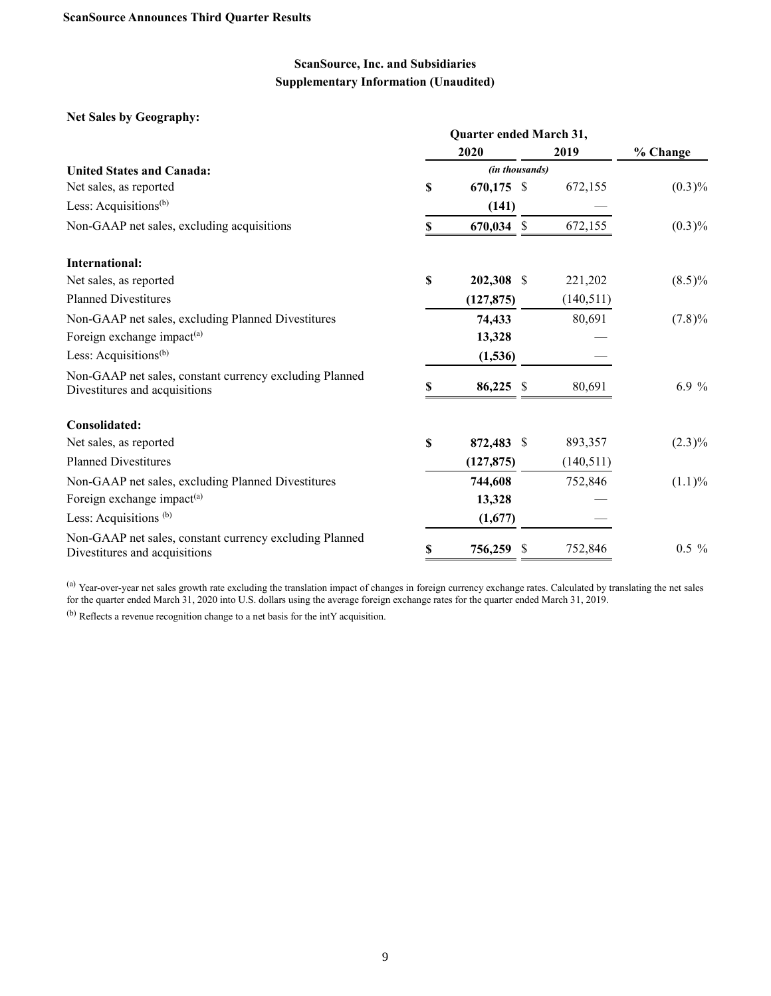**Net Sales by Geography:**

|                                                                                          | Quarter ended March 31, |                |           |           |  |  |  |  |  |  |  |
|------------------------------------------------------------------------------------------|-------------------------|----------------|-----------|-----------|--|--|--|--|--|--|--|
|                                                                                          |                         | 2020           | 2019      | % Change  |  |  |  |  |  |  |  |
| <b>United States and Canada:</b>                                                         |                         |                |           |           |  |  |  |  |  |  |  |
| Net sales, as reported                                                                   | \$                      | $670,175$ \$   | 672,155   | $(0.3)\%$ |  |  |  |  |  |  |  |
| Less: Acquisitions <sup>(b)</sup>                                                        |                         | (141)          |           |           |  |  |  |  |  |  |  |
| Non-GAAP net sales, excluding acquisitions                                               | \$                      | 670,034 \$     | 672,155   | $(0.3)\%$ |  |  |  |  |  |  |  |
| International:                                                                           |                         |                |           |           |  |  |  |  |  |  |  |
| Net sales, as reported                                                                   | \$                      | 202,308 \$     | 221,202   | $(8.5)\%$ |  |  |  |  |  |  |  |
| <b>Planned Divestitures</b>                                                              |                         | (127, 875)     | (140,511) |           |  |  |  |  |  |  |  |
| Non-GAAP net sales, excluding Planned Divestitures                                       |                         | 74,433         | 80,691    | $(7.8)\%$ |  |  |  |  |  |  |  |
| Foreign exchange impact <sup>(a)</sup>                                                   |                         | 13,328         |           |           |  |  |  |  |  |  |  |
| Less: Acquisitions <sup>(b)</sup>                                                        |                         | (1,536)        |           |           |  |  |  |  |  |  |  |
| Non-GAAP net sales, constant currency excluding Planned<br>Divestitures and acquisitions | \$                      | 86,225 \$      | 80,691    | 6.9 %     |  |  |  |  |  |  |  |
| Consolidated:                                                                            |                         |                |           |           |  |  |  |  |  |  |  |
| Net sales, as reported                                                                   | \$                      | 872,483 \$     | 893,357   | $(2.3)\%$ |  |  |  |  |  |  |  |
| <b>Planned Divestitures</b>                                                              |                         | (127, 875)     | (140,511) |           |  |  |  |  |  |  |  |
| Non-GAAP net sales, excluding Planned Divestitures                                       |                         | 744,608        | 752,846   | $(1.1)\%$ |  |  |  |  |  |  |  |
| Foreign exchange impact <sup>(a)</sup>                                                   |                         | 13,328         |           |           |  |  |  |  |  |  |  |
| Less: Acquisitions <sup>(b)</sup>                                                        |                         | (1,677)        |           |           |  |  |  |  |  |  |  |
| Non-GAAP net sales, constant currency excluding Planned<br>Divestitures and acquisitions | \$                      | 756,259<br>-\$ | 752,846   | $0.5 \%$  |  |  |  |  |  |  |  |

(a) Year-over-year net sales growth rate excluding the translation impact of changes in foreign currency exchange rates. Calculated by translating the net sales for the quarter ended March 31, 2020 into U.S. dollars using the average foreign exchange rates for the quarter ended March 31, 2019.

(b) Reflects a revenue recognition change to a net basis for the intY acquisition.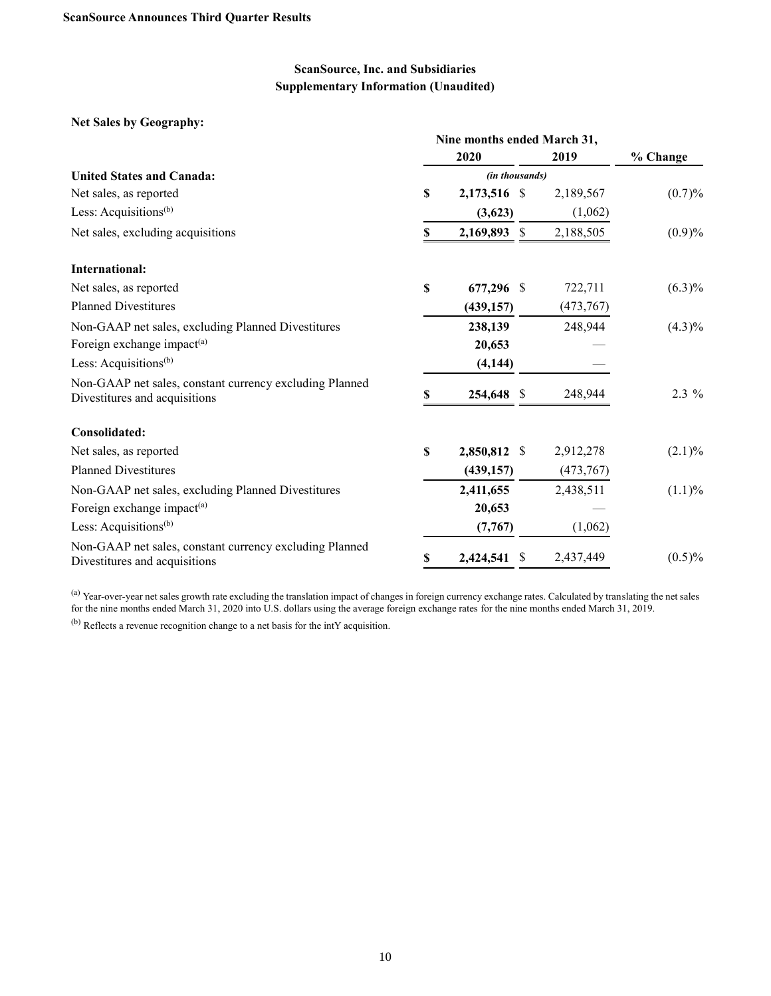### **Net Sales by Geography:**

|                                                                                          | Nine months ended March 31, |                |               |           |           |  |  |  |  |  |
|------------------------------------------------------------------------------------------|-----------------------------|----------------|---------------|-----------|-----------|--|--|--|--|--|
|                                                                                          |                             | 2020           |               | 2019      | % Change  |  |  |  |  |  |
| <b>United States and Canada:</b>                                                         |                             | (in thousands) |               |           |           |  |  |  |  |  |
| Net sales, as reported                                                                   | \$                          | 2,173,516 \$   |               | 2,189,567 | (0.7)%    |  |  |  |  |  |
| Less: Acquisitions <sup>(b)</sup>                                                        |                             | (3,623)        |               | (1,062)   |           |  |  |  |  |  |
| Net sales, excluding acquisitions                                                        | \$                          | 2,169,893      | <sup>\$</sup> | 2,188,505 | (0.9)%    |  |  |  |  |  |
| <b>International:</b>                                                                    |                             |                |               |           |           |  |  |  |  |  |
| Net sales, as reported                                                                   | \$                          | 677,296 \$     |               | 722,711   | $(6.3)\%$ |  |  |  |  |  |
| <b>Planned Divestitures</b>                                                              |                             | (439, 157)     |               | (473,767) |           |  |  |  |  |  |
| Non-GAAP net sales, excluding Planned Divestitures                                       |                             | 238,139        |               | 248,944   | $(4.3)\%$ |  |  |  |  |  |
| Foreign exchange impact <sup>(a)</sup>                                                   |                             | 20,653         |               |           |           |  |  |  |  |  |
| Less: Acquisitions <sup>(b)</sup>                                                        |                             | (4, 144)       |               |           |           |  |  |  |  |  |
| Non-GAAP net sales, constant currency excluding Planned<br>Divestitures and acquisitions | \$                          | 254,648 \$     |               | 248,944   | $2.3\%$   |  |  |  |  |  |
| Consolidated:                                                                            |                             |                |               |           |           |  |  |  |  |  |
| Net sales, as reported                                                                   | \$                          | 2,850,812 \$   |               | 2,912,278 | $(2.1)\%$ |  |  |  |  |  |
| <b>Planned Divestitures</b>                                                              |                             | (439, 157)     |               | (473,767) |           |  |  |  |  |  |
| Non-GAAP net sales, excluding Planned Divestitures                                       |                             | 2,411,655      |               | 2,438,511 | $(1.1)\%$ |  |  |  |  |  |
| Foreign exchange impact <sup>(a)</sup>                                                   |                             | 20,653         |               |           |           |  |  |  |  |  |
| Less: Acquisitions <sup>(b)</sup>                                                        |                             | (7,767)        |               | (1,062)   |           |  |  |  |  |  |
| Non-GAAP net sales, constant currency excluding Planned<br>Divestitures and acquisitions | \$                          | 2,424,541      | <sup>\$</sup> | 2,437,449 | $(0.5)\%$ |  |  |  |  |  |

<sup>(a)</sup> Year-over-year net sales growth rate excluding the translation impact of changes in foreign currency exchange rates. Calculated by translating the net sales for the nine months ended March 31, 2020 into U.S. dollars using the average foreign exchange rates for the nine months ended March 31, 2019.

(b) Reflects a revenue recognition change to a net basis for the intY acquisition.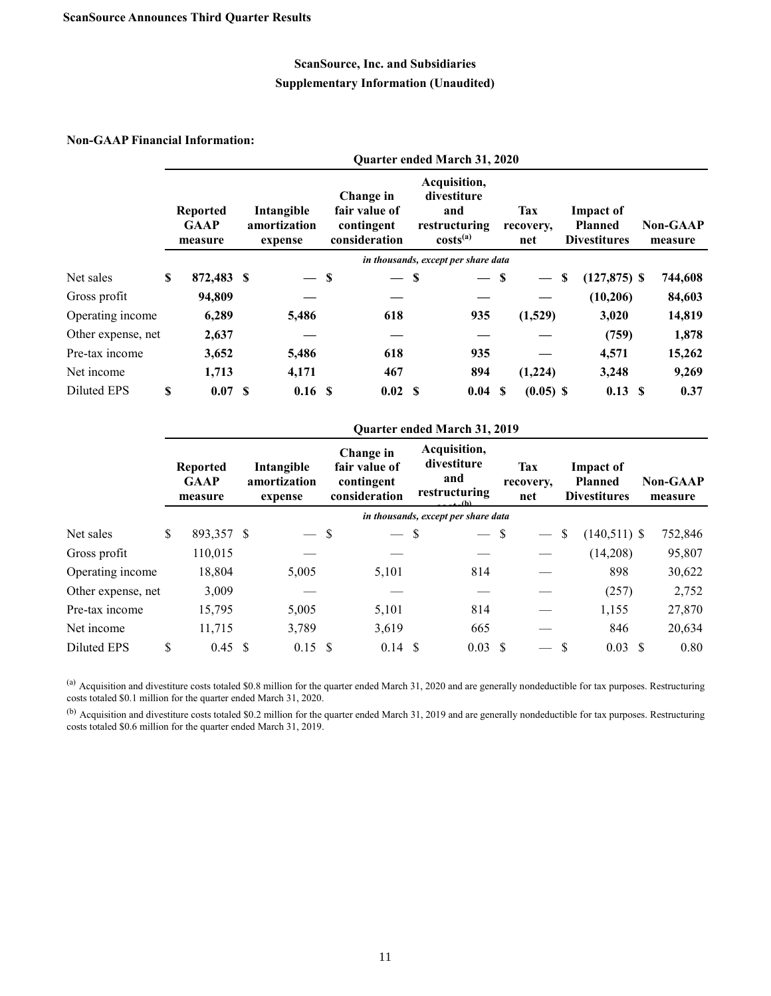### **Non-GAAP Financial Information:**

|                    |                                           |                                       |                                                           | <b>Quarter ended March 31, 2020</b>                                  |                                |    |                                                           |                            |
|--------------------|-------------------------------------------|---------------------------------------|-----------------------------------------------------------|----------------------------------------------------------------------|--------------------------------|----|-----------------------------------------------------------|----------------------------|
|                    | <b>Reported</b><br><b>GAAP</b><br>measure | Intangible<br>amortization<br>expense | Change in<br>fair value of<br>contingent<br>consideration | Acquisition,<br>divestiture<br>and<br>restructuring<br>$costs^{(a)}$ | <b>Tax</b><br>recovery,<br>net |    | <b>Impact of</b><br><b>Planned</b><br><b>Divestitures</b> | <b>Non-GAAP</b><br>measure |
|                    |                                           |                                       |                                                           | in thousands, except per share data                                  |                                |    |                                                           |                            |
| Net sales          | \$<br>872,483 \$                          | $-$ \$                                | $-$ \$                                                    | $-$ \$                                                               |                                | -S | $(127, 875)$ \$                                           | 744,608                    |
| Gross profit       | 94,809                                    |                                       |                                                           |                                                                      |                                |    | (10,206)                                                  | 84,603                     |
| Operating income   | 6,289                                     | 5,486                                 | 618                                                       | 935                                                                  | (1,529)                        |    | 3,020                                                     | 14,819                     |
| Other expense, net | 2,637                                     |                                       |                                                           |                                                                      |                                |    | (759)                                                     | 1,878                      |
| Pre-tax income     | 3,652                                     | 5,486                                 | 618                                                       | 935                                                                  |                                |    | 4,571                                                     | 15,262                     |
| Net income         | 1,713                                     | 4,171                                 | 467                                                       | 894                                                                  | (1,224)                        |    | 3,248                                                     | 9,269                      |
| Diluted EPS        | \$<br>0.07 S                              | 0.16S                                 | 0.02 S                                                    | 0.04S                                                                | $(0.05)$ \$                    |    | $0.13 \text{ }$ \$                                        | 0.37                       |

|                    |               |                                           |                                       |                                                           | <b>Quarter ended March 31, 2019</b>                           |   |                                |               |                                                           |    |                            |
|--------------------|---------------|-------------------------------------------|---------------------------------------|-----------------------------------------------------------|---------------------------------------------------------------|---|--------------------------------|---------------|-----------------------------------------------------------|----|----------------------------|
|                    |               | <b>Reported</b><br><b>GAAP</b><br>measure | Intangible<br>amortization<br>expense | Change in<br>fair value of<br>contingent<br>consideration | Acquisition,<br>divestiture<br>and<br>restructuring<br>∟. (h) |   | <b>Tax</b><br>recovery,<br>net |               | <b>Impact of</b><br><b>Planned</b><br><b>Divestitures</b> |    | <b>Non-GAAP</b><br>measure |
|                    |               |                                           |                                       |                                                           | in thousands, except per share data                           |   |                                |               |                                                           |    |                            |
| Net sales          | <sup>\$</sup> | 893,357 \$                                | $-$ \$                                | $-$ \$                                                    | $-$ \$                                                        |   |                                | \$            | $(140,511)$ \$                                            |    | 752,846                    |
| Gross profit       |               | 110,015                                   |                                       |                                                           |                                                               |   |                                |               | (14,208)                                                  |    | 95,807                     |
| Operating income   |               | 18,804                                    | 5,005                                 | 5,101                                                     | 814                                                           |   |                                |               | 898                                                       |    | 30,622                     |
| Other expense, net |               | 3,009                                     |                                       |                                                           |                                                               |   |                                |               | (257)                                                     |    | 2,752                      |
| Pre-tax income     |               | 15,795                                    | 5,005                                 | 5,101                                                     | 814                                                           |   |                                |               | 1,155                                                     |    | 27,870                     |
| Net income         |               | 11,715                                    | 3,789                                 | 3,619                                                     | 665                                                           |   |                                |               | 846                                                       |    | 20,634                     |
| Diluted EPS        | \$            | $0.45 \text{ }$ \$                        | $0.15$ \$                             | $0.14 \text{ }$ \$                                        | 0.03                                                          | S |                                | <sup>\$</sup> | 0.03                                                      | -S | 0.80                       |

 $^{(a)}$  Acquisition and divestiture costs totaled \$0.8 million for the quarter ended March 31, 2020 and are generally nondeductible for tax purposes. Restructuring costs totaled \$0.1 million for the quarter ended March 31, 2020.

<sup>(b)</sup> Acquisition and divestiture costs totaled \$0.2 million for the quarter ended March 31, 2019 and are generally nondeductible for tax purposes. Restructuring costs totaled \$0.6 million for the quarter ended March 31, 2019.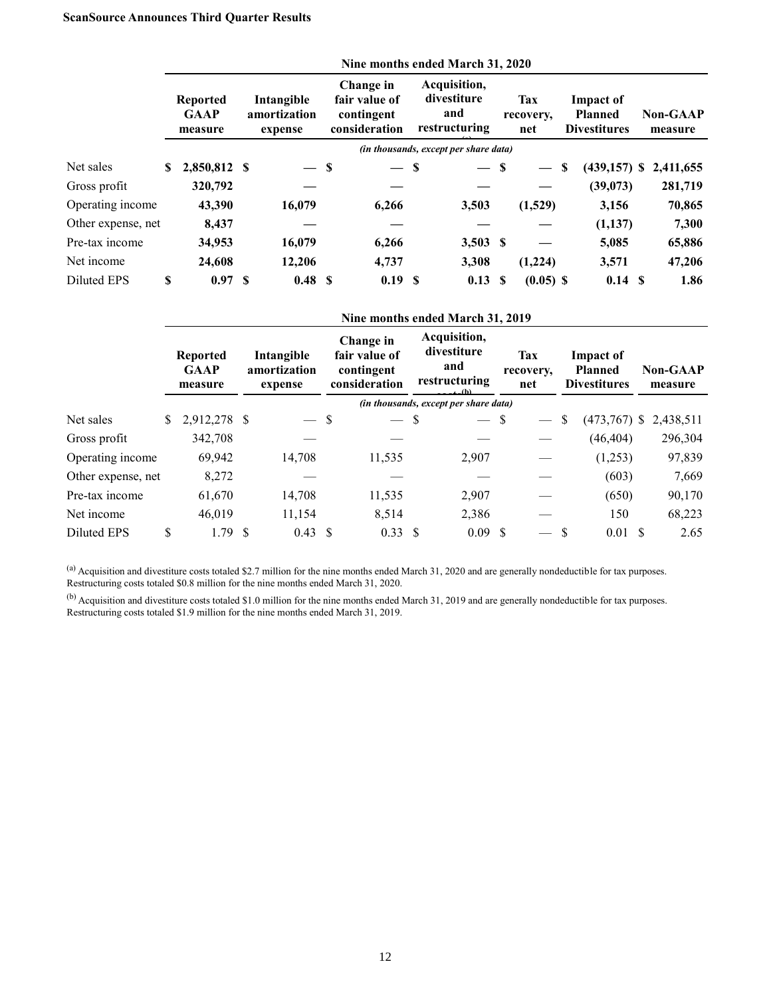### **ScanSource Announces Third Quarter Results**

|                    |    |                                           |                                       |                                                           | Nine months ended March 31, 2020                    |    |                                |                                                           |                            |
|--------------------|----|-------------------------------------------|---------------------------------------|-----------------------------------------------------------|-----------------------------------------------------|----|--------------------------------|-----------------------------------------------------------|----------------------------|
|                    |    | <b>Reported</b><br><b>GAAP</b><br>measure | Intangible<br>amortization<br>expense | Change in<br>fair value of<br>contingent<br>consideration | Acquisition,<br>divestiture<br>and<br>restructuring |    | <b>Tax</b><br>recovery,<br>net | <b>Impact of</b><br><b>Planned</b><br><b>Divestitures</b> | <b>Non-GAAP</b><br>measure |
|                    |    |                                           |                                       |                                                           | <i>(in thousands, except per share data)</i>        |    |                                |                                                           |                            |
| Net sales          | S. | 2,850,812 \$                              | $-$ \$                                | — \$                                                      | — \$                                                |    |                                | \$<br>$(439, 157)$ \$                                     | 2,411,655                  |
| Gross profit       |    | 320,792                                   |                                       |                                                           |                                                     |    |                                | (39,073)                                                  | 281,719                    |
| Operating income   |    | 43,390                                    | 16,079                                | 6,266                                                     | 3,503                                               |    | (1,529)                        | 3,156                                                     | 70,865                     |
| Other expense, net |    | 8,437                                     |                                       |                                                           |                                                     |    |                                | (1,137)                                                   | 7,300                      |
| Pre-tax income     |    | 34,953                                    | 16,079                                | 6,266                                                     | $3,503$ \$                                          |    |                                | 5,085                                                     | 65,886                     |
| Net income         |    | 24,608                                    | 12,206                                | 4,737                                                     | 3,308                                               |    | (1,224)                        | 3,571                                                     | 47,206                     |
| Diluted EPS        | \$ | 0.97 S                                    | 0.48 S                                | 0.19S                                                     | 0.13                                                | -S | $(0.05)$ \$                    | 0.14S                                                     | 1.86                       |
|                    |    |                                           |                                       |                                                           | Nine months ended March 31, 2019                    |    |                                |                                                           |                            |
|                    |    | <b>Reported</b>                           | Intangible                            | Change in<br>fair value of                                | Acquisition,<br>divestiture                         |    | <b>Tax</b>                     | <b>Impact of</b>                                          |                            |

|                    | <b>Reported</b><br><b>GAAP</b><br>measure |              | Intangible<br>amortization<br>expense |                    |  | fair value of<br>contingent<br>consideration | divestiture<br>and<br>restructuring<br>(A) |  | <b>Tax</b><br>recovery,<br>net |               | Impact of<br><b>Planned</b><br><b>Divestitures</b> |  | <b>Non-GAAP</b><br>measure |
|--------------------|-------------------------------------------|--------------|---------------------------------------|--------------------|--|----------------------------------------------|--------------------------------------------|--|--------------------------------|---------------|----------------------------------------------------|--|----------------------------|
|                    |                                           |              |                                       |                    |  |                                              | (in thousands, except per share data)      |  |                                |               |                                                    |  |                            |
| Net sales          | S.                                        | 2,912,278 \$ |                                       | $-$ \$             |  | $-$ \$                                       | $-$ \$                                     |  |                                | S             | $(473,767)$ \$                                     |  | 2,438,511                  |
| Gross profit       |                                           | 342,708      |                                       |                    |  |                                              |                                            |  |                                |               | (46, 404)                                          |  | 296,304                    |
| Operating income   |                                           | 69,942       |                                       | 14,708             |  | 11,535                                       | 2,907                                      |  |                                |               | (1,253)                                            |  | 97,839                     |
| Other expense, net |                                           | 8,272        |                                       |                    |  |                                              |                                            |  |                                |               | (603)                                              |  | 7,669                      |
| Pre-tax income     |                                           | 61,670       |                                       | 14,708             |  | 11,535                                       | 2,907                                      |  |                                |               | (650)                                              |  | 90,170                     |
| Net income         |                                           | 46,019       |                                       | 11,154             |  | 8,514                                        | 2,386                                      |  |                                |               | 150                                                |  | 68,223                     |
| Diluted EPS        | \$                                        | 1.79S        |                                       | $0.43 \text{ }$ \$ |  | $0.33 \text{ } $$                            | 0.09 S                                     |  |                                | <sup>\$</sup> | $0.01 \text{ S}$                                   |  | 2.65                       |
|                    |                                           |              |                                       |                    |  |                                              |                                            |  |                                |               |                                                    |  |                            |

(a) Acquisition and divestiture costs totaled \$2.7 million for the nine months ended March 31, 2020 and are generally nondeductible for tax purposes. Restructuring costs totaled \$0.8 million for the nine months ended March 31, 2020.

 $^{(b)}$  Acquisition and divestiture costs totaled \$1.0 million for the nine months ended March 31, 2019 and are generally nondeductible for tax purposes. Restructuring costs totaled \$1.9 million for the nine months ended March 31, 2019.